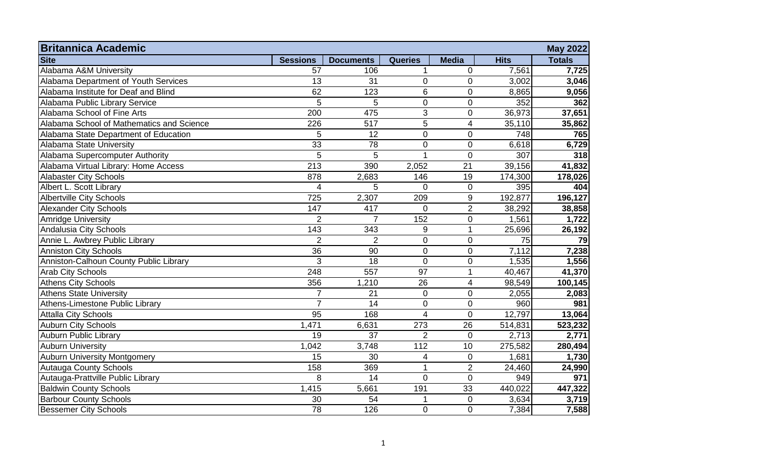| <b>Britannica Academic</b>                |                  |                  |                          |                  |             | <b>May 2022</b> |
|-------------------------------------------|------------------|------------------|--------------------------|------------------|-------------|-----------------|
| <b>Site</b>                               | <b>Sessions</b>  | <b>Documents</b> | <b>Queries</b>           | <b>Media</b>     | <b>Hits</b> | <b>Totals</b>   |
| Alabama A&M University                    | 57               | 106              | $\mathbf 1$              | $\mathbf 0$      | 7,561       | 7,725           |
| Alabama Department of Youth Services      | 13               | 31               | $\boldsymbol{0}$         | $\boldsymbol{0}$ | 3,002       | 3,046           |
| Alabama Institute for Deaf and Blind      | 62               | 123              | 6                        | $\mathbf 0$      | 8,865       | 9,056           |
| Alabama Public Library Service            | 5                | 5                | $\boldsymbol{0}$         | $\mathbf 0$      | 352         | 362             |
| Alabama School of Fine Arts               | $\overline{200}$ | 475              | $\overline{3}$           | $\mathbf 0$      | 36,973      | 37,651          |
| Alabama School of Mathematics and Science | 226              | 517              | 5                        | $\overline{4}$   | 35,110      | 35,862          |
| Alabama State Department of Education     | 5                | 12               | $\mathbf 0$              | $\overline{0}$   | 748         | 765             |
| Alabama State University                  | 33               | 78               | $\mathbf 0$              | $\overline{0}$   | 6,618       | 6,729           |
| Alabama Supercomputer Authority           | $\overline{5}$   | 5                | $\mathbf{1}$             | $\overline{0}$   | 307         | 318             |
| Alabama Virtual Library: Home Access      | 213              | 390              | 2,052                    | 21               | 39,156      | 41,832          |
| <b>Alabaster City Schools</b>             | 878              | 2,683            | 146                      | 19               | 174,300     | 178,026         |
| Albert L. Scott Library                   | 4                | 5                | $\overline{0}$           | $\mathbf 0$      | 395         | 404             |
| <b>Albertville City Schools</b>           | 725              | 2,307            | 209                      | $9\,$            | 192,877     | 196,127         |
| <b>Alexander City Schools</b>             | 147              | 417              | $\overline{0}$           | $\overline{2}$   | 38,292      | 38,858          |
| <b>Amridge University</b>                 | $\overline{2}$   | $\overline{7}$   | 152                      | $\mathbf 0$      | 1,561       | 1,722           |
| Andalusia City Schools                    | 143              | 343              | 9                        | $\mathbf{1}$     | 25,696      | 26,192          |
| Annie L. Awbrey Public Library            | $\overline{2}$   | $\overline{2}$   | $\mathbf 0$              | $\overline{0}$   | 75          | 79              |
| <b>Anniston City Schools</b>              | $\overline{36}$  | 90               | $\boldsymbol{0}$         | $\mathbf 0$      | 7,112       | 7,238           |
| Anniston-Calhoun County Public Library    | 3                | 18               | $\boldsymbol{0}$         | $\boldsymbol{0}$ | 1,535       | 1,556           |
| <b>Arab City Schools</b>                  | 248              | 557              | 97                       | 1                | 40,467      | 41,370          |
| <b>Athens City Schools</b>                | 356              | 1,210            | 26                       | 4                | 98,549      | 100,145         |
| <b>Athens State University</b>            | $\overline{7}$   | 21               | $\mathbf 0$              | $\pmb{0}$        | 2,055       | 2,083           |
| Athens-Limestone Public Library           | $\overline{7}$   | 14               | $\mathbf 0$              | $\mathbf 0$      | 960         | 981             |
| <b>Attalla City Schools</b>               | $\overline{95}$  | 168              | $\overline{4}$           | $\overline{0}$   | 12,797      | 13,064          |
| <b>Auburn City Schools</b>                | 1,471            | 6,631            | 273                      | 26               | 514,831     | 523,232         |
| <b>Auburn Public Library</b>              | 19               | 37               | $\overline{2}$           | $\overline{0}$   | 2,713       | 2,771           |
| <b>Auburn University</b>                  | 1,042            | 3,748            | $\frac{112}{112}$        | 10               | 275,582     | 280,494         |
| <b>Auburn University Montgomery</b>       | 15               | 30               | $\overline{\mathcal{A}}$ | 0                | 1,681       | 1,730           |
| <b>Autauga County Schools</b>             | 158              | 369              | $\mathbf{1}$             | $\overline{2}$   | 24,460      | 24,990          |
| Autauga-Prattville Public Library         | 8                | 14               | $\mathbf 0$              | $\mathbf 0$      | 949         | 971             |
| <b>Baldwin County Schools</b>             | 1,415            | 5,661            | 191                      | 33               | 440,022     | 447,322         |
| <b>Barbour County Schools</b>             | 30               | 54               | 1                        | $\mathbf 0$      | 3,634       | 3,719           |
| <b>Bessemer City Schools</b>              | $\overline{78}$  | 126              | $\mathbf 0$              | $\overline{0}$   | 7,384       | 7,588           |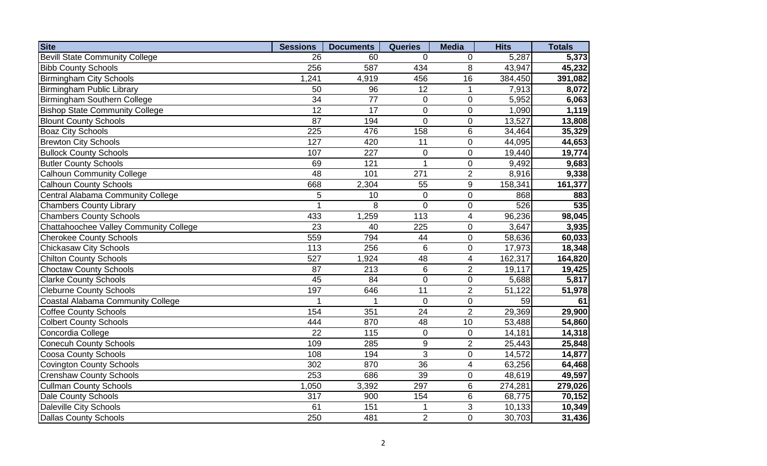| <b>Site</b>                            | <b>Sessions</b> | <b>Documents</b> | <b>Queries</b>   | <b>Media</b>     | <b>Hits</b> | <b>Totals</b> |
|----------------------------------------|-----------------|------------------|------------------|------------------|-------------|---------------|
| <b>Bevill State Community College</b>  | 26              | 60               | $\Omega$         | $\mathbf 0$      | 5,287       | 5,373         |
| <b>Bibb County Schools</b>             | 256             | 587              | 434              | 8                | 43,947      | 45,232        |
| <b>Birmingham City Schools</b>         | 1,241           | 4,919            | 456              | 16               | 384,450     | 391,082       |
| Birmingham Public Library              | 50              | 96               | 12               | $\mathbf{1}$     | 7,913       | 8,072         |
| Birmingham Southern College            | 34              | 77               | $\mathsf 0$      | $\mathbf 0$      | 5,952       | 6,063         |
| <b>Bishop State Community College</b>  | $\overline{12}$ | $\overline{17}$  | $\mathbf 0$      | $\mathbf 0$      | 1,090       | 1,119         |
| <b>Blount County Schools</b>           | $\overline{87}$ | 194              | $\mathbf 0$      | $\mathbf 0$      | 13,527      | 13,808        |
| <b>Boaz City Schools</b>               | 225             | 476              | 158              | $\,6$            | 34,464      | 35,329        |
| <b>Brewton City Schools</b>            | 127             | 420              | 11               | $\boldsymbol{0}$ | 44,095      | 44,653        |
| <b>Bullock County Schools</b>          | 107             | $\overline{227}$ | $\mathbf 0$      | $\mathbf 0$      | 19,440      | 19,774        |
| <b>Butler County Schools</b>           | 69              | 121              | $\mathbf 1$      | $\boldsymbol{0}$ | 9,492       | 9,683         |
| <b>Calhoun Community College</b>       | 48              | 101              | 271              | $\overline{2}$   | 8,916       | 9,338         |
| <b>Calhoun County Schools</b>          | 668             | 2,304            | 55               | $\boldsymbol{9}$ | 158,341     | 161,377       |
| Central Alabama Community College      | 5               | 10               | $\boldsymbol{0}$ | $\pmb{0}$        | 868         | 883           |
| <b>Chambers County Library</b>         | $\overline{1}$  | 8                | $\mathbf 0$      | $\pmb{0}$        | 526         | 535           |
| <b>Chambers County Schools</b>         | 433             | 1,259            | 113              | $\overline{4}$   | 96,236      | 98,045        |
| Chattahoochee Valley Community College | $\overline{23}$ | 40               | 225              | $\mathbf 0$      | 3,647       | 3,935         |
| <b>Cherokee County Schools</b>         | 559             | 794              | 44               | $\pmb{0}$        | 58,636      | 60,033        |
| <b>Chickasaw City Schools</b>          | 113             | 256              | 6                | $\mathbf 0$      | 17,973      | 18,348        |
| <b>Chilton County Schools</b>          | 527             | 1,924            | 48               | $\overline{4}$   | 162,317     | 164,820       |
| <b>Choctaw County Schools</b>          | 87              | 213              | $6\phantom{1}$   | $\overline{2}$   | 19,117      | 19,425        |
| <b>Clarke County Schools</b>           | $\overline{45}$ | 84               | $\mathbf 0$      | $\mathbf 0$      | 5,688       | 5,817         |
| <b>Cleburne County Schools</b>         | 197             | 646              | $\overline{11}$  | $\overline{2}$   | 51,122      | 51,978        |
| Coastal Alabama Community College      |                 |                  | $\mathbf 0$      | $\mathbf 0$      | 59          | 61            |
| <b>Coffee County Schools</b>           | 154             | 351              | $\overline{24}$  | $\overline{2}$   | 29,369      | 29,900        |
| <b>Colbert County Schools</b>          | 444             | 870              | 48               | 10               | 53,488      | 54,860        |
| Concordia College                      | 22              | 115              | $\boldsymbol{0}$ | $\mathbf 0$      | 14,181      | 14,318        |
| <b>Conecuh County Schools</b>          | 109             | 285              | $\boldsymbol{9}$ | $\overline{2}$   | 25,443      | 25,848        |
| <b>Coosa County Schools</b>            | 108             | 194              | 3                | $\mathbf 0$      | 14,572      | 14,877        |
| <b>Covington County Schools</b>        | 302             | 870              | 36               | $\overline{4}$   | 63,256      | 64,468        |
| <b>Crenshaw County Schools</b>         | 253             | 686              | 39               | $\mathbf 0$      | 48,619      | 49,597        |
| <b>Cullman County Schools</b>          | 1,050           | 3,392            | 297              | $\,6$            | 274,281     | 279,026       |
| Dale County Schools                    | 317             | 900              | 154              | 6                | 68,775      | 70,152        |
| Daleville City Schools                 | 61              | 151              |                  | 3                | 10,133      | 10,349        |
| Dallas County Schools                  | 250             | 481              | $\overline{2}$   | $\overline{0}$   | 30,703      | 31,436        |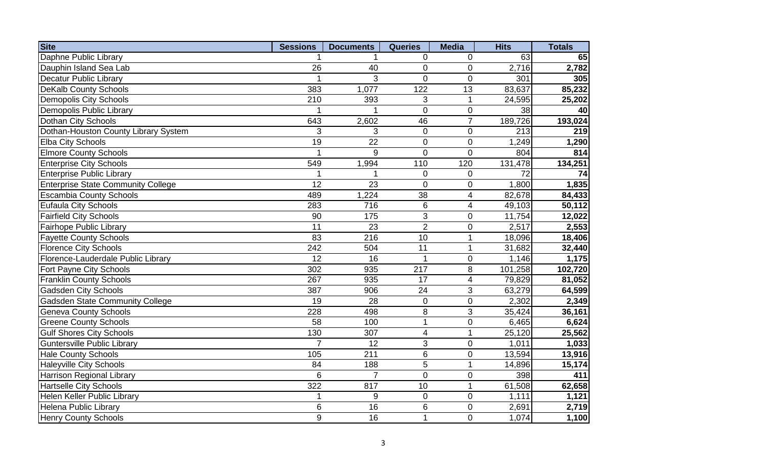| <b>Site</b>                               | <b>Sessions</b> | <b>Documents</b> | <b>Queries</b> | <b>Media</b>   | <b>Hits</b> | <b>Totals</b> |
|-------------------------------------------|-----------------|------------------|----------------|----------------|-------------|---------------|
| Daphne Public Library                     |                 |                  | $\mathbf 0$    | 0              | 63          | 65            |
| Dauphin Island Sea Lab                    | 26              | 40               | $\mathbf 0$    | $\mathbf 0$    | 2,716       | 2,782         |
| <b>Decatur Public Library</b>             | 1               | 3                | $\Omega$       | $\overline{0}$ | 301         | 305           |
| <b>DeKalb County Schools</b>              | 383             | 1,077            | 122            | 13             | 83,637      | 85,232        |
| <b>Demopolis City Schools</b>             | 210             | 393              | 3              | $\mathbf{1}$   | 24,595      | 25,202        |
| Demopolis Public Library                  |                 |                  | $\overline{0}$ | $\mathbf 0$    | 38          | 40            |
| Dothan City Schools                       | 643             | 2,602            | 46             | $\overline{7}$ | 189,726     | 193,024       |
| Dothan-Houston County Library System      | 3               | 3                | $\mathbf 0$    | $\mathbf 0$    | 213         | 219           |
| <b>Elba City Schools</b>                  | 19              | 22               | $\overline{0}$ | $\mathbf 0$    | 1,249       | 1,290         |
| <b>Elmore County Schools</b>              | $\mathbf{1}$    | 9                | $\overline{0}$ | $\overline{0}$ | 804         | 814           |
| <b>Enterprise City Schools</b>            | 549             | 1,994            | 110            | 120            | 131,478     | 134,251       |
| <b>Enterprise Public Library</b>          |                 |                  | $\mathbf 0$    | $\mathbf 0$    | 72          | 74            |
| <b>Enterprise State Community College</b> | 12              | 23               | $\overline{0}$ | $\mathbf 0$    | 1,800       | 1,835         |
| <b>Escambia County Schools</b>            | 489             | 1,224            | 38             | $\overline{4}$ | 82,678      | 84,433        |
| <b>Eufaula City Schools</b>               | 283             | 716              | 6              | $\overline{4}$ | 49,103      | 50,112        |
| <b>Fairfield City Schools</b>             | 90              | 175              | 3              | $\mathbf 0$    | 11,754      | 12,022        |
| Fairhope Public Library                   | 11              | 23               | $\overline{2}$ | $\mathbf 0$    | 2,517       | 2,553         |
| <b>Fayette County Schools</b>             | 83              | 216              | 10             | $\mathbf{1}$   | 18,096      | 18,406        |
| <b>Florence City Schools</b>              | 242             | 504              | 11             | $\mathbf{1}$   | 31,682      | 32,440        |
| Florence-Lauderdale Public Library        | 12              | 16               | 1              | $\mathbf 0$    | 1,146       | 1,175         |
| Fort Payne City Schools                   | 302             | 935              | 217            | 8              | 101,258     | 102,720       |
| <b>Franklin County Schools</b>            | 267             | 935              | 17             | $\overline{4}$ | 79,829      | 81,052        |
| <b>Gadsden City Schools</b>               | 387             | 906              | 24             | 3              | 63,279      | 64,599        |
| <b>Gadsden State Community College</b>    | 19              | 28               | $\mathbf 0$    | $\mathbf 0$    | 2,302       | 2,349         |
| <b>Geneva County Schools</b>              | 228             | 498              | 8              | 3              | 35,424      | 36,161        |
| <b>Greene County Schools</b>              | 58              | 100              | $\mathbf{1}$   | $\mathbf 0$    | 6,465       | 6,624         |
| <b>Gulf Shores City Schools</b>           | 130             | 307              | $\overline{4}$ | $\mathbf{1}$   | 25,120      | 25,562        |
| <b>Guntersville Public Library</b>        | $\overline{7}$  | 12               | $\mathfrak{B}$ | $\pmb{0}$      | 1,011       | 1,033         |
| <b>Hale County Schools</b>                | 105             | 211              | $6\phantom{1}$ | $\mathbf 0$    | 13,594      | 13,916        |
| <b>Haleyville City Schools</b>            | 84              | 188              | 5              | $\mathbf{1}$   | 14,896      | 15,174        |
| Harrison Regional Library                 | 6               | $\overline{7}$   | $\mathbf 0$    | $\mathbf{0}$   | 398         | 411           |
| <b>Hartselle City Schools</b>             | 322             | 817              | 10             | $\mathbf{1}$   | 61,508      | 62,658        |
| Helen Keller Public Library               | $\mathbf{1}$    | 9                | $\mathbf 0$    | $\mathbf 0$    | 1,111       | 1,121         |
| Helena Public Library                     | 6               | 16               | 6              | $\mathbf 0$    | 2,691       | 2,719         |
| <b>Henry County Schools</b>               | 9               | 16               | $\mathbf{1}$   | $\pmb{0}$      | 1,074       | 1,100         |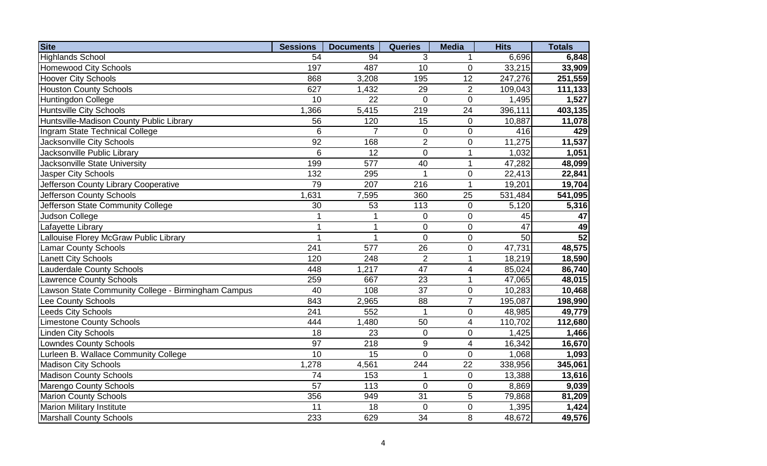| <b>Site</b>                                        | <b>Sessions</b> | <b>Documents</b> | <b>Queries</b>   | <b>Media</b>            | <b>Hits</b> | <b>Totals</b> |
|----------------------------------------------------|-----------------|------------------|------------------|-------------------------|-------------|---------------|
| <b>Highlands School</b>                            | 54              | 94               | 3                | 1                       | 6,696       | 6,848         |
| <b>Homewood City Schools</b>                       | 197             | 487              | 10               | $\mathbf 0$             | 33,215      | 33,909        |
| <b>Hoover City Schools</b>                         | 868             | 3,208            | 195              | 12                      | 247,276     | 251,559       |
| <b>Houston County Schools</b>                      | 627             | 1,432            | 29               | $\overline{2}$          | 109,043     | 111,133       |
| Huntingdon College                                 | 10              | 22               | $\overline{0}$   | $\overline{0}$          | 1,495       | 1,527         |
| <b>Huntsville City Schools</b>                     | 1,366           | 5,415            | 219              | 24                      | 396,111     | 403,135       |
| Huntsville-Madison County Public Library           | 56              | 120              | 15               | $\mathbf 0$             | 10,887      | 11,078        |
| Ingram State Technical College                     | 6               | $\overline{7}$   | $\pmb{0}$        | $\mathbf 0$             | 416         | 429           |
| Jacksonville City Schools                          | 92              | 168              | $\overline{2}$   | $\mathbf 0$             | 11,275      | 11,537        |
| Jacksonville Public Library                        | 6               | $\overline{12}$  | $\mathbf 0$      | $\overline{1}$          | 1,032       | 1,051         |
| Jacksonville State University                      | 199             | 577              | 40               | 1                       | 47,282      | 48,099        |
| Jasper City Schools                                | 132             | 295              | 1                | $\mathbf 0$             | 22,413      | 22,841        |
| Jefferson County Library Cooperative               | 79              | 207              | 216              | $\overline{1}$          | 19,201      | 19,704        |
| Jefferson County Schools                           | 1,631           | 7,595            | 360              | 25                      | 531,484     | 541,095       |
| Jefferson State Community College                  | 30              | 53               | 113              | $\pmb{0}$               | 5,120       | 5,316         |
| Judson College                                     | 1               | 1                | $\pmb{0}$        | $\mathbf 0$             | 45          | 47            |
| Lafayette Library                                  | $\mathbf{1}$    | $\mathbf 1$      | $\mathbf 0$      | $\mathbf 0$             | 47          | 49            |
| Lallouise Florey McGraw Public Library             | 1               | $\mathbf 1$      | $\overline{0}$   | $\mathbf 0$             | 50          | 52            |
| <b>Lamar County Schools</b>                        | 241             | 577              | 26               | $\mathbf 0$             | 47,731      | 48,575        |
| <b>Lanett City Schools</b>                         | 120             | 248              | $\overline{2}$   | $\overline{1}$          | 18,219      | 18,590        |
| <b>Lauderdale County Schools</b>                   | 448             | 1,217            | 47               | $\overline{\mathbf{4}}$ | 85,024      | 86,740        |
| <b>Lawrence County Schools</b>                     | 259             | 667              | 23               | $\mathbf{1}$            | 47,065      | 48,015        |
| Lawson State Community College - Birmingham Campus | 40              | 108              | 37               | $\mathbf 0$             | 10,283      | 10,468        |
| Lee County Schools                                 | 843             | 2,965            | 88               | $\overline{7}$          | 195,087     | 198,990       |
| <b>Leeds City Schools</b>                          | 241             | 552              | $\mathbf{1}$     | $\mathbf 0$             | 48,985      | 49,779        |
| <b>Limestone County Schools</b>                    | 444             | 1,480            | 50               | $\overline{4}$          | 110,702     | 112,680       |
| <b>Linden City Schools</b>                         | 18              | 23               | $\boldsymbol{0}$ | $\boldsymbol{0}$        | 1,425       | 1,466         |
| Lowndes County Schools                             | 97              | 218              | $\boldsymbol{9}$ | $\overline{\mathbf{4}}$ | 16,342      | 16,670        |
| Lurleen B. Wallace Community College               | 10              | 15               | $\overline{0}$   | $\overline{0}$          | 1,068       | 1,093         |
| <b>Madison City Schools</b>                        | 1,278           | 4,561            | 244              | 22                      | 338,956     | 345,061       |
| <b>Madison County Schools</b>                      | 74              | 153              | 1                | $\mathbf 0$             | 13,388      | 13,616        |
| Marengo County Schools                             | 57              | 113              | $\overline{0}$   | $\mathbf 0$             | 8,869       | 9,039         |
| <b>Marion County Schools</b>                       | 356             | 949              | 31               | 5                       | 79,868      | 81,209        |
| <b>Marion Military Institute</b>                   | 11              | 18               | $\mathbf 0$      | $\mathbf 0$             | 1,395       | 1,424         |
| <b>Marshall County Schools</b>                     | 233             | 629              | 34               | 8                       | 48,672      | 49,576        |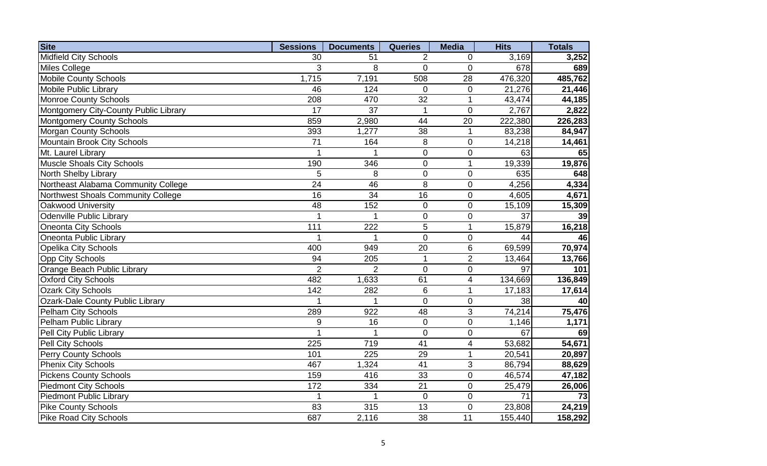| <b>Site</b>                             | <b>Sessions</b> | <b>Documents</b> | <b>Queries</b>  | <b>Media</b>            | <b>Hits</b>     | <b>Totals</b> |
|-----------------------------------------|-----------------|------------------|-----------------|-------------------------|-----------------|---------------|
| <b>Midfield City Schools</b>            | 30              | 51               | 2               | $\mathbf 0$             | 3,169           | 3,252         |
| Miles College                           | 3               | 8                | $\mathbf 0$     | $\mathbf 0$             | 678             | 689           |
| <b>Mobile County Schools</b>            | 1,715           | 7,191            | 508             | 28                      | 476,320         | 485,762       |
| <b>Mobile Public Library</b>            | 46              | 124              | $\mathbf 0$     | $\pmb{0}$               | 21,276          | 21,446        |
| <b>Monroe County Schools</b>            | 208             | 470              | 32              | $\mathbf{1}$            | 43,474          | 44,185        |
| Montgomery City-County Public Library   | $\overline{17}$ | $\overline{37}$  | 1               | $\overline{0}$          | 2,767           | 2,822         |
| <b>Montgomery County Schools</b>        | 859             | 2,980            | 44              | 20                      | 222,380         | 226,283       |
| <b>Morgan County Schools</b>            | 393             | 1,277            | 38              | $\mathbf{1}$            | 83,238          | 84,947        |
| Mountain Brook City Schools             | 71              | 164              | 8               | $\mathbf 0$             | 14,218          | 14,461        |
| Mt. Laurel Library                      | 1               |                  | $\overline{0}$  | $\pmb{0}$               | 63              | 65            |
| <b>Muscle Shoals City Schools</b>       | 190             | 346              | $\pmb{0}$       | $\mathbf 1$             | 19,339          | 19,876        |
| North Shelby Library                    | 5               | 8                | $\pmb{0}$       | $\pmb{0}$               | 635             | 648           |
| Northeast Alabama Community College     | 24              | 46               | 8               | $\mathbf 0$             | 4,256           | 4,334         |
| Northwest Shoals Community College      | $\overline{16}$ | $\overline{34}$  | $\overline{16}$ | $\pmb{0}$               | 4,605           | 4,671         |
| Oakwood University                      | $\overline{48}$ | 152              | $\pmb{0}$       | $\pmb{0}$               | 15,109          | 15,309        |
| <b>Odenville Public Library</b>         | 1               | 1                | $\pmb{0}$       | $\pmb{0}$               | 37              | 39            |
| <b>Oneonta City Schools</b>             | 111             | $\overline{222}$ | $\overline{5}$  | $\mathbf 1$             | 15,879          | 16,218        |
| Oneonta Public Library                  | 1               | $\mathbf{1}$     | $\mathbf 0$     | $\pmb{0}$               | 44              | 46            |
| <b>Opelika City Schools</b>             | 400             | 949              | 20              | $6\phantom{1}6$         | 69,599          | 70,974        |
| <b>Opp City Schools</b>                 | 94              | 205              | $\overline{1}$  | $\overline{2}$          | 13,464          | 13,766        |
| Orange Beach Public Library             | $\overline{2}$  | $\overline{2}$   | $\overline{0}$  | $\overline{0}$          | 97              | 101           |
| <b>Oxford City Schools</b>              | 482             | 1,633            | 61              | $\overline{4}$          | 134,669         | 136,849       |
| <b>Ozark City Schools</b>               | 142             | 282              | 6               | $\mathbf{1}$            | 17,183          | 17,614        |
| <b>Ozark-Dale County Public Library</b> | $\overline{1}$  |                  | $\overline{0}$  | $\mathbf 0$             | $\overline{38}$ | 40            |
| <b>Pelham City Schools</b>              | 289             | $\overline{922}$ | $\overline{48}$ | 3                       | 74,214          | 75,476        |
| Pelham Public Library                   | 9               | 16               | $\pmb{0}$       | $\mathbf 0$             | 1,146           | 1,171         |
| Pell City Public Library                | 1               |                  | $\mathbf 0$     | $\mathbf 0$             | 67              | 69            |
| Pell City Schools                       | 225             | 719              | 41              | $\overline{\mathbf{4}}$ | 53,682          | 54,671        |
| <b>Perry County Schools</b>             | 101             | 225              | 29              | $\mathbf{1}$            | 20,541          | 20,897        |
| <b>Phenix City Schools</b>              | 467             | 1,324            | 41              | 3                       | 86,794          | 88,629        |
| <b>Pickens County Schools</b>           | 159             | 416              | 33              | $\mathbf 0$             | 46,574          | 47,182        |
| <b>Piedmont City Schools</b>            | 172             | 334              | 21              | $\mathbf 0$             | 25,479          | 26,006        |
| <b>Piedmont Public Library</b>          | 1               |                  | $\mathbf 0$     | $\mathbf 0$             | 71              | 73            |
| <b>Pike County Schools</b>              | 83              | 315              | 13              | $\mathbf 0$             | 23,808          | 24,219        |
| <b>Pike Road City Schools</b>           | 687             | 2,116            | 38              | 11                      | 155,440         | 158,292       |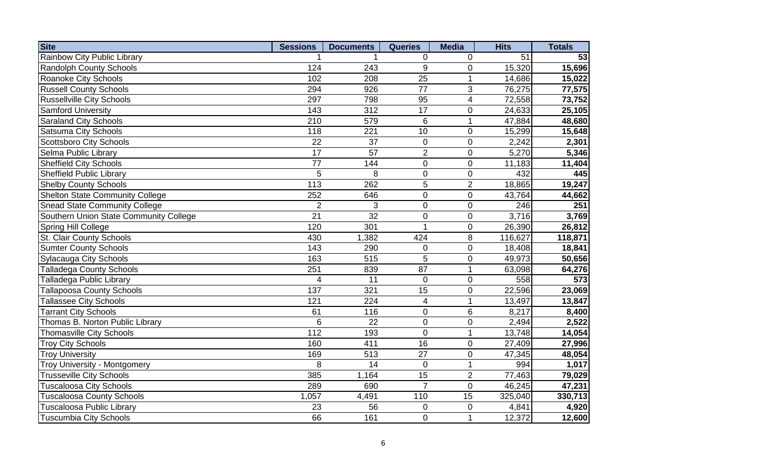| <b>Site</b>                            | <b>Sessions</b> | <b>Documents</b> | <b>Queries</b>          | <b>Media</b>     | <b>Hits</b> | <b>Totals</b> |
|----------------------------------------|-----------------|------------------|-------------------------|------------------|-------------|---------------|
| Rainbow City Public Library            |                 |                  | $\mathbf 0$             | $\mathbf 0$      | 51          | 53            |
| Randolph County Schools                | 124             | 243              | 9                       | $\mathbf 0$      | 15,320      | 15,696        |
| Roanoke City Schools                   | 102             | 208              | 25                      | $\mathbf 1$      | 14,686      | 15,022        |
| <b>Russell County Schools</b>          | 294             | 926              | 77                      | 3                | 76,275      | 77,575        |
| <b>Russellville City Schools</b>       | 297             | 798              | 95                      | $\overline{4}$   | 72,558      | 73,752        |
| <b>Samford University</b>              | 143             | 312              | $\overline{17}$         | $\pmb{0}$        | 24,633      | 25,105        |
| <b>Saraland City Schools</b>           | 210             | 579              | 6                       | $\mathbf 1$      | 47,884      | 48,680        |
| <b>Satsuma City Schools</b>            | 118             | 221              | 10                      | $\mathbf 0$      | 15,299      | 15,648        |
| <b>Scottsboro City Schools</b>         | $\overline{22}$ | 37               | $\pmb{0}$               | $\mathbf 0$      | 2,242       | 2,301         |
| Selma Public Library                   | 17              | $\overline{57}$  | $\overline{2}$          | $\pmb{0}$        | 5,270       | 5,346         |
| <b>Sheffield City Schools</b>          | 77              | 144              | $\mathbf 0$             | $\pmb{0}$        | 11,183      | 11,404        |
| <b>Sheffield Public Library</b>        | 5               | 8                | $\pmb{0}$               | $\pmb{0}$        | 432         | 445           |
| <b>Shelby County Schools</b>           | 113             | 262              | 5                       | $\overline{2}$   | 18,865      | 19,247        |
| <b>Shelton State Community College</b> | 252             | 646              | $\mathsf 0$             | $\pmb{0}$        | 43,764      | 44,662        |
| <b>Snead State Community College</b>   | $\overline{2}$  | 3                | $\pmb{0}$               | $\pmb{0}$        | 246         | 251           |
| Southern Union State Community College | 21              | 32               | $\pmb{0}$               | $\pmb{0}$        | 3,716       | 3,769         |
| Spring Hill College                    | 120             | 301              | $\overline{1}$          | $\boldsymbol{0}$ | 26,390      | 26,812        |
| St. Clair County Schools               | 430             | 1,382            | 424                     | $\,8\,$          | 116,627     | 118,871       |
| <b>Sumter County Schools</b>           | 143             | 290              | 0                       | $\overline{0}$   | 18,408      | 18,841        |
| Sylacauga City Schools                 | 163             | 515              | 5                       | $\mathbf 0$      | 49,973      | 50,656        |
| <b>Talladega County Schools</b>        | 251             | 839              | 87                      | $\mathbf{1}$     | 63,098      | 64,276        |
| <b>Talladega Public Library</b>        | 4               | $\overline{11}$  | $\mathbf 0$             | $\mathbf 0$      | 558         | 573           |
| <b>Tallapoosa County Schools</b>       | 137             | $\overline{321}$ | $\overline{15}$         | $\mathbf 0$      | 22,596      | 23,069        |
| <b>Tallassee City Schools</b>          | 121             | $\overline{224}$ | $\overline{\mathbf{4}}$ | $\overline{1}$   | 13,497      | 13,847        |
| <b>Tarrant City Schools</b>            | 61              | 116              | $\mathsf 0$             | $\,6$            | 8,217       | 8,400         |
| Thomas B. Norton Public Library        | $6\phantom{1}6$ | $\overline{22}$  | $\mathsf 0$             | $\boldsymbol{0}$ | 2,494       | 2,522         |
| <b>Thomasville City Schools</b>        | 112             | 193              | $\mathbf 0$             | 1                | 13,748      | 14,054        |
| <b>Troy City Schools</b>               | 160             | 411              | 16                      | $\mathbf 0$      | 27,409      | 27,996        |
| <b>Troy University</b>                 | 169             | 513              | 27                      | $\mathbf 0$      | 47,345      | 48,054        |
| Troy University - Montgomery           | 8               | 14               | $\mathbf 0$             | $\mathbf{1}$     | 994         | 1,017         |
| <b>Trusseville City Schools</b>        | 385             | 1,164            | 15                      | $\overline{2}$   | 77,463      | 79,029        |
| <b>Tuscaloosa City Schools</b>         | 289             | 690              | $\overline{7}$          | $\mathbf 0$      | 46,245      | 47,231        |
| <b>Tuscaloosa County Schools</b>       | 1,057           | 4,491            | 110                     | 15               | 325,040     | 330,713       |
| <b>Tuscaloosa Public Library</b>       | 23              | 56               | 0                       | $\mathbf 0$      | 4,841       | 4,920         |
| <b>Tuscumbia City Schools</b>          | 66              | 161              | $\overline{0}$          | $\mathbf 1$      | 12,372      | 12,600        |